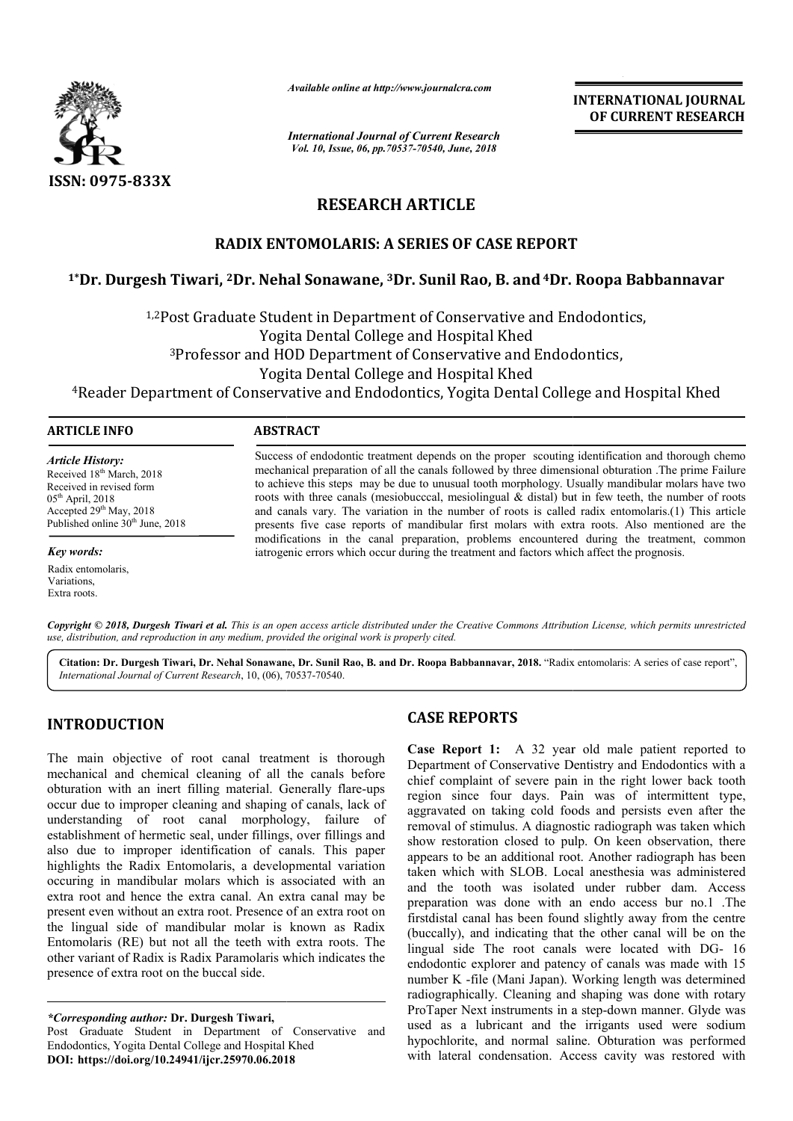

*Available online at http://www.journalcra.com*

*International Journal of Current Research Vol. 10, Issue, 06, pp.70537-70540, June, 2018*

**INTERNATIONAL JOURNAL OF CURRENT RESEARCH**

## **RESEARCH ARTICLE**

### **RADIX ENTOMOLARIS: A SERIES OF CASE REPORT**

# RADIX ENTOMOLARIS: A SERIES OF CASE REPORT<br><sup>1</sup>\*Dr. Durgesh Tiwari, <sup>2</sup>Dr. Nehal Sonawane, <sup>3</sup>Dr. Sunil Rao, B. and <sup>4</sup>Dr. Roopa Babbannavar

1,2Post Graduate Student in Department of Conservative and Endodontics Endodontics, Yogita Dental College and Hospital Khed 3Professor and HOD Department of Conservative and Endodontics Endodontics, Yogita Dental College and Hospital Khed

4Reader Department of Conservative and Endodontics, Yogita Dental College and Hospital Khed

#### **ARTICLE INFO ABSTRACT**

*Article History:* Received 18<sup>th</sup> March, 2018 Received in revised form  $05^{\text{th}}$  April, 2018 Accepted  $29<sup>th</sup>$  May, 2018 Published online  $30<sup>th</sup>$  June, 2018

*Key words:*

Radix entomolaris, **Variations** Extra roots.

Success of endodontic treatment depends on the proper scouting identification and thorough chemo Success of endodontic treatment depends on the proper scouting identification and thorough chemo mechanical preparation of all the canals followed by three dimensional obturation .The prime Failure to achieve this steps may be due to unusual tooth morphology. Usually mandibular molars have two roots with three canals (mesiobucccal, mesiolingual  $\&$  distal) but in few teeth, the number of roots and canals vary. The variation in the number of roots is called radix entomolaris.(1) This article presents five case reports of mandibular first molars with extra roots. Also mentioned are the modifications in the canal preparation, problems encountered during the treatment, common iatrogenic errors which occur during the treatment and factors which affect the prognosis. to achieve this steps may be due to unusual tooth morphology. Usually mandibular molars have roots with three canals (mesiobucccal, mesiolingual & distal) but in few teeth, the number of roots and canals vary. The variatio

Copyright © 2018, Durgesh Tiwari et al. This is an open access article distributed under the Creative Commons Attribution License, which permits unrestricted *use, distribution, and reproduction in any medium, provided the original work is properly cited.*

Citation: Dr. Durgesh Tiwari, Dr. Nehal Sonawane, Dr. Sunil Rao, B. and Dr. Roopa Babbannavar, 2018. "Radix entomolaris: A series of case report", *International Journal of Current Research*, 10, (06), 70537 70537-70540.

#### **INTRODUCTION**

The main objective of root canal treatment is thorough mechanical and chemical cleaning of all the canals before obturation with an inert filling material. Generally flare-ups occur due to improper cleaning and shaping of canals, lack of understanding of root canal morphology, failure of establishment of hermetic seal, under fillings, over fillings and also due to improper identification of canals. This paper highlights the Radix Entomolaris, a developmental variation occuring in mandibular molars which is associated with an extra root and hence the extra canal. An extra canal may be present even without an extra root. Presence of an extra root on the lingual side of mandibular molar is known as Radix Entomolaris (RE) but not all the teeth with extra roots. The other variant of Radix is Radix Paramolaris which indicates the presence of extra root on the buccal side.

*\*Corresponding author:* **Dr. Durgesh Tiwari,** 

Post Graduate Student in Department of Conservative and Endodontics, Yogita Dental College and Hospital Khed **DOI: https://doi.org/10.24941/ijcr.25970.06.2018**

**CASE REPORTS**<br> **CASE REPORTS**<br> **Case Report 1:**<br> **Case Report 1:**<br>
Department of Cons<br>
chief complaint of :<br>
region since four<br>
anging of canals, lack of<br>
region since four<br>
fillings, over fillings and<br>
of canals. This pa **Case Report 1:** A 32 year old male patient reported to Department of Conservative Dentistry and Endodontics with a chief complaint of severe pain in the right lower back tooth region since four days. Pain was of intermittent type, chief complaint of severe pain in the right lower back tooth<br>region since four days. Pain was of intermittent type,<br>aggravated on taking cold foods and persists even after the removal of stimulus. A diagnostic radiograph was taken which show restoration closed to pulp. On keen observation, there appears to be an additional root. Another radiograph has been taken which with SLOB. Local anesthesia was administered and the tooth was isolated under rubber dam. Access preparation was done with an endo access bur no.1 .The firstdistal canal has been found slightly away from the centre (buccally), and indicating that the other canal will be on the lingual side The root canals were located with DG- 16 endodontic explorer and patency of canals was made with 15 number K -file (Mani Japan). Working length was determined radiographically. Cleaning and shaping was done with rotary endodontic explorer and patency of canals was made with 15 number K -file (Mani Japan). Working length was determined radiographically. Cleaning and shaping was done with rotary ProTaper Next instruments in a step-down man used as a lubricant and the irrigants used were sodium hypochlorite, and normal saline. Obturation was performed with lateral condensation. Access cavity was restored with of stimulus. A diagnostic radiograph was taken which<br>storation closed to pulp. On keen observation, there<br>to be an additional root. Another radiograph has been<br>nich with SLOB. Local anesthesia was administered preparation was done with an endo access bur no.1 .The first<br>distal canal has been found slightly away from the centre (buccally), and indicating that the other canal will be on the lingual side. The root canals were locat Example 1991 **INTERNATIONAL JOURNAL CONTRANTION CONTRANT CONTRANT CONTRANT CONTRANT CONTRANT CONTRANT CONTRANT CONTRANT CONTRANT CONTRANT CONTRANT CONTRANT CONTRANT CONTRANT CONTRANT CONTRANT CONTRANT CONTRANT CONTRANT CON**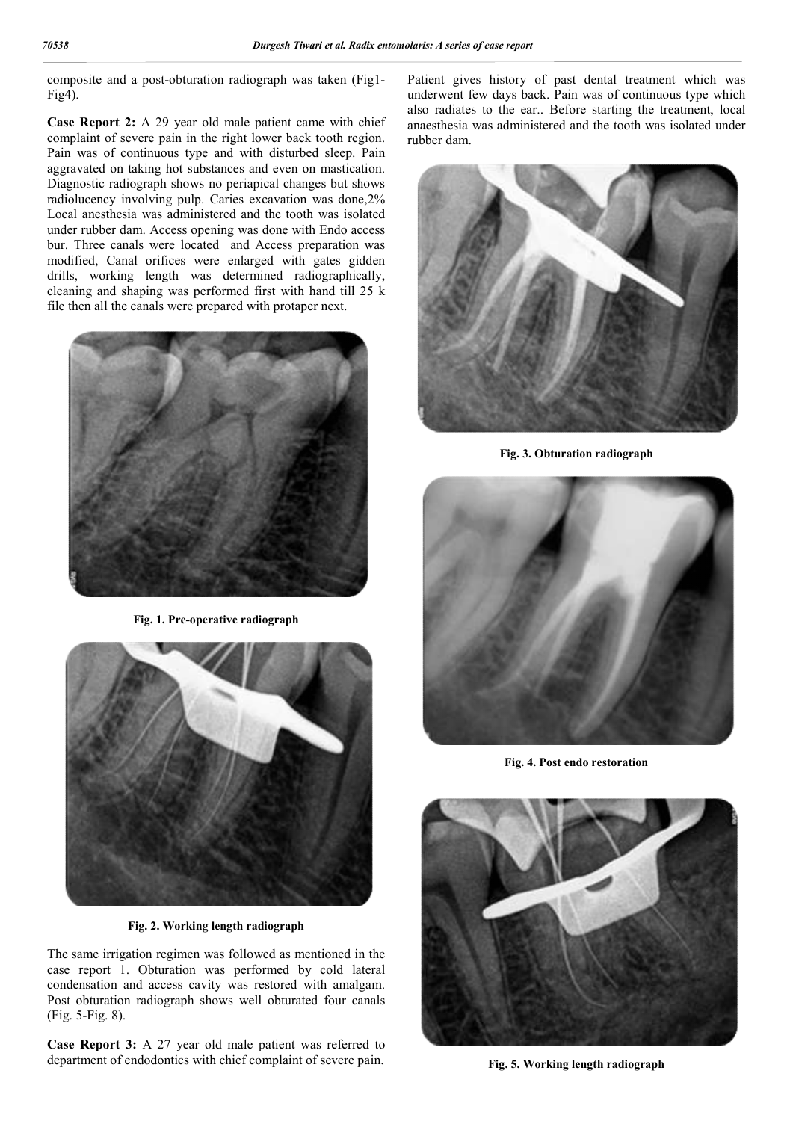composite and a post-obturation radiograph was taken (Fig1- Fig4).

**Case Report 2:** A 29 year old male patient came with chief complaint of severe pain in the right lower back tooth region. Pain was of continuous type and with disturbed sleep. Pain aggravated on taking hot substances and even on mastication. Diagnostic radiograph shows no periapical changes but shows radiolucency involving pulp. Caries excavation was done,2% Local anesthesia was administered and the tooth was isolated under rubber dam. Access opening was done with Endo access bur. Three canals were located and Access preparation was modified, Canal orifices were enlarged with gates gidden drills, working length was determined radiographically, cleaning and shaping was performed first with hand till 25 k file then all the canals were prepared with protaper next.



**Fig. 1. Pre-operative radiograph**



**Fig. 2. Working length radiograph**

The same irrigation regimen was followed as mentioned in the case report 1. Obturation was performed by cold lateral condensation and access cavity was restored with amalgam. Post obturation radiograph shows well obturated four canals (Fig. 5-Fig. 8).

**Case Report 3:** A 27 year old male patient was referred to department of endodontics with chief complaint of severe pain.

Patient gives history of past dental treatment which was underwent few days back. Pain was of continuous type which also radiates to the ear.. Before starting the treatment, local anaesthesia was administered and the tooth was isolated under rubber dam.



**Fig. 3. Obturation radiograph**



**Fig. 4. Post endo restoration**



**Fig. 5. Working length radiograph**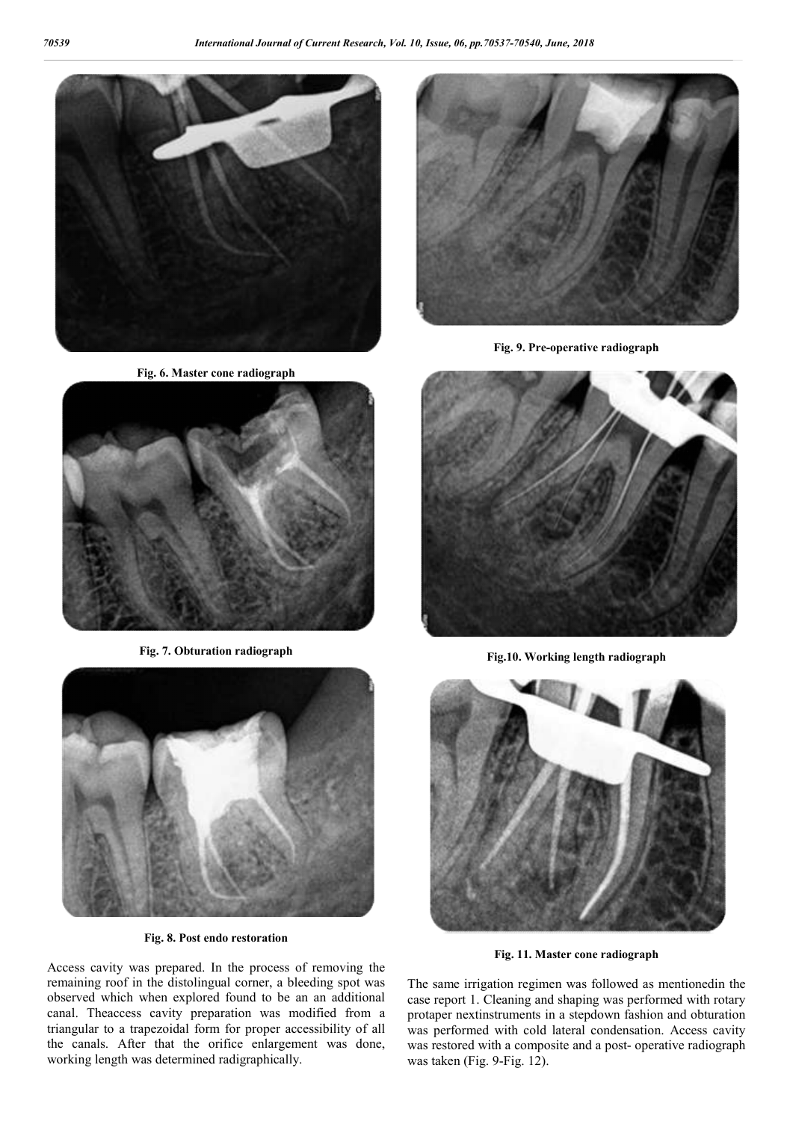

**Fig. 6. Master cone radiograph**



**Fig. 7. Obturation radiograph**



**Fig. 9. Pre-operative radiograph**



**Fig.10. Working length radiograph**



**Fig. 8. Post endo restoration**

Access cavity was prepared. In the process of removing the remaining roof in the distolingual corner, a bleeding spot was observed which when explored found to be an an additional canal. Theaccess cavity preparation was modified from a triangular to a trapezoidal form for proper accessibility of all the canals. After that the orifice enlargement was done, working length was determined radigraphically.



**Fig. 11. Master cone radiograph**

The same irrigation regimen was followed as mentionedin the case report 1. Cleaning and shaping was performed with rotary protaper nextinstruments in a stepdown fashion and obturation was performed with cold lateral condensation. Access cavity was restored with a composite and a post- operative radiograph was taken (Fig. 9-Fig. 12).